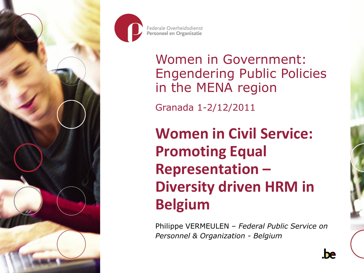



Women in Government: Engendering Public Policies in the MENA region

Granada 1-2/12/2011

**Women in Civil Service: Promoting Equal Representation – Diversity driven HRM in Belgium**

Philippe VERMEULEN – *Federal Public Service on Personnel & Organization - Belgium*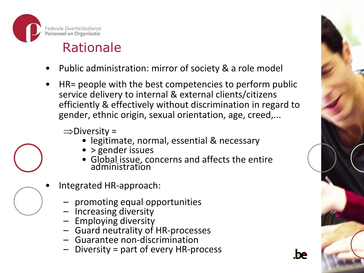

### Rationale

- Public administration: mirror of society & a role model
- HR= people with the best competencies to perform public service delivery to internal & external clients/citizens efficiently & effectively without discrimination in regard to gender, ethnic origin, sexual orientation, age, creed,...

 $\Rightarrow$ Diversity =

- legitimate, normal, essential & necessary
- > gender issues
- Global issue, concerns and affects the entire administration



- Integrated HR-approach:
	- promoting equal opportunities
	- Increasing diversity
	- Employing diversity
	- Guard neutrality of HR-processes
	- Guarantee non-discrimination
	- Diversity = part of every HR-process

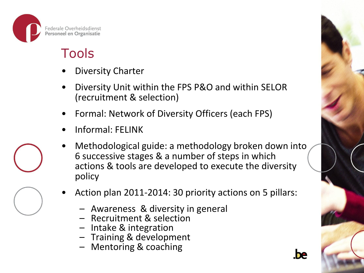

#### Tools

- Diversity Charter
- Diversity Unit within the FPS P&O and within SELOR (recruitment & selection)
- Formal: Network of Diversity Officers (each FPS)
- Informal: FELINK
- Methodological guide: a methodology broken down into 6 successive stages & a number of steps in which actions & tools are developed to execute the diversity policy
- Action plan 2011-2014: 30 priority actions on 5 pillars:
	- Awareness & diversity in general
	- Recruitment & selection
	- Intake & integration
	- Training & development
	- Mentoring & coaching

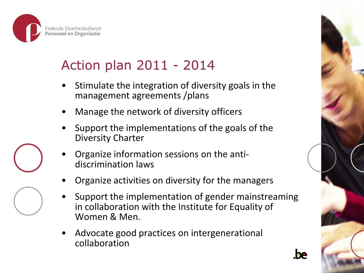

### Action plan 2011 - 2014

- Stimulate the integration of diversity goals in the management agreements /plans
- Manage the network of diversity officers
- Support the implementations of the goals of the Diversity Charter
- Organize information sessions on the antidiscrimination laws
- Organize activities on diversity for the managers
- Support the implementation of gender mainstreaming in collaboration with the Institute for Equality of Women & Men.
- Advocate good practices on intergenerational collaboration



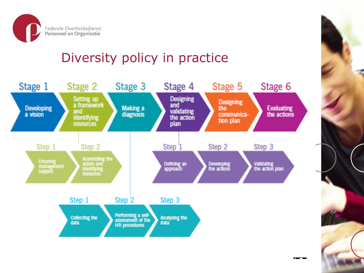

#### Diversity policy in practice

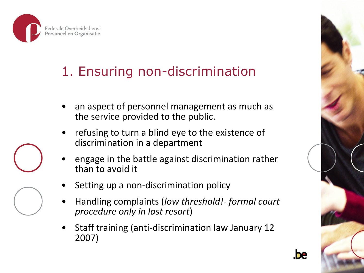

### 1. Ensuring non-discrimination

- an aspect of personnel management as much as the service provided to the public.
- refusing to turn a blind eye to the existence of discrimination in a department
- engage in the battle against discrimination rather than to avoid it
- Setting up a non-discrimination policy
- Handling complaints (*low threshold!- formal court procedure only in last resort*)
- Staff training (anti-discrimination law January 12 2007)





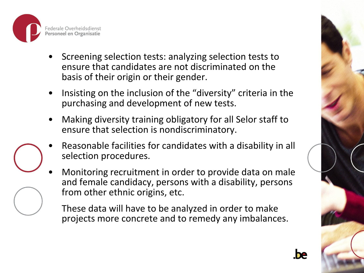

- Screening selection tests: analyzing selection tests to ensure that candidates are not discriminated on the basis of their origin or their gender.
- Insisting on the inclusion of the "diversity" criteria in the purchasing and development of new tests.
- Making diversity training obligatory for all Selor staff to ensure that selection is nondiscriminatory.
- Reasonable facilities for candidates with a disability in all selection procedures.
- Monitoring recruitment in order to provide data on male and female candidacy, persons with a disability, persons from other ethnic origins, etc.

These data will have to be analyzed in order to make projects more concrete and to remedy any imbalances.

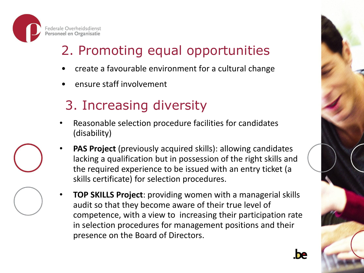

# 2. Promoting equal opportunities

- create a favourable environment for a cultural change
- ensure staff involvement

# 3. Increasing diversity

- Reasonable selection procedure facilities for candidates (disability)
- **PAS Project** (previously acquired skills): allowing candidates lacking a qualification but in possession of the right skills and the required experience to be issued with an entry ticket (a skills certificate) for selection procedures.
- **TOP SKILLS Project**: providing women with a managerial skills audit so that they become aware of their true level of competence, with a view to increasing their participation rate in selection procedures for management positions and their presence on the Board of Directors.